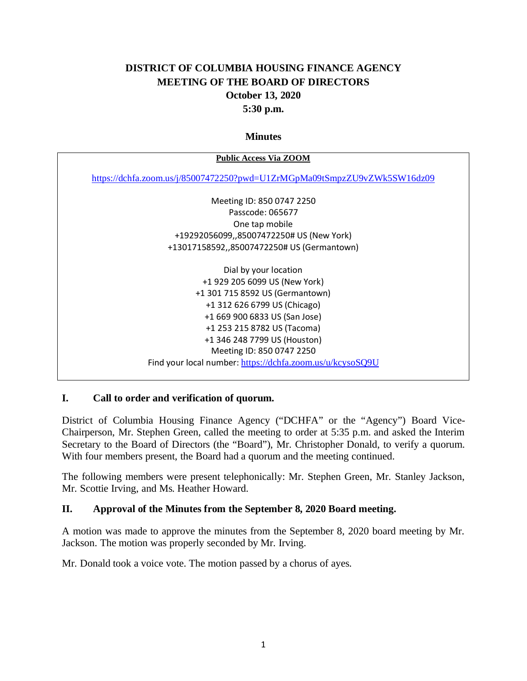# **DISTRICT OF COLUMBIA HOUSING FINANCE AGENCY MEETING OF THE BOARD OF DIRECTORS October 13, 2020 5:30 p.m.**

#### **Minutes**

| <b>Public Access Via ZOOM</b>                                            |
|--------------------------------------------------------------------------|
| https://dchfa.zoom.us/j/85007472250?pwd=U1ZrMGpMa09tSmpzZU9vZWk5SW16dz09 |
| Meeting ID: 850 0747 2250                                                |
| Passcode: 065677                                                         |
| One tap mobile                                                           |
| +19292056099,,85007472250# US (New York)                                 |
| +13017158592,,85007472250# US (Germantown)                               |
| Dial by your location                                                    |
| +1 929 205 6099 US (New York)<br>+1 301 715 8592 US (Germantown)         |
| +1 312 626 6799 US (Chicago)                                             |
| +1 669 900 6833 US (San Jose)                                            |
| +1 253 215 8782 US (Tacoma)                                              |
| +1 346 248 7799 US (Houston)                                             |
| Meeting ID: 850 0747 2250                                                |
| Find your local number: https://dchfa.zoom.us/u/kcysoSQ9U                |

### **I. Call to order and verification of quorum.**

District of Columbia Housing Finance Agency ("DCHFA" or the "Agency") Board Vice-Chairperson, Mr. Stephen Green, called the meeting to order at 5:35 p.m. and asked the Interim Secretary to the Board of Directors (the "Board"), Mr. Christopher Donald, to verify a quorum. With four members present, the Board had a quorum and the meeting continued.

The following members were present telephonically: Mr. Stephen Green, Mr. Stanley Jackson, Mr. Scottie Irving, and Ms. Heather Howard.

### **II. Approval of the Minutes from the September 8, 2020 Board meeting.**

A motion was made to approve the minutes from the September 8, 2020 board meeting by Mr. Jackson. The motion was properly seconded by Mr. Irving.

Mr. Donald took a voice vote. The motion passed by a chorus of ayes.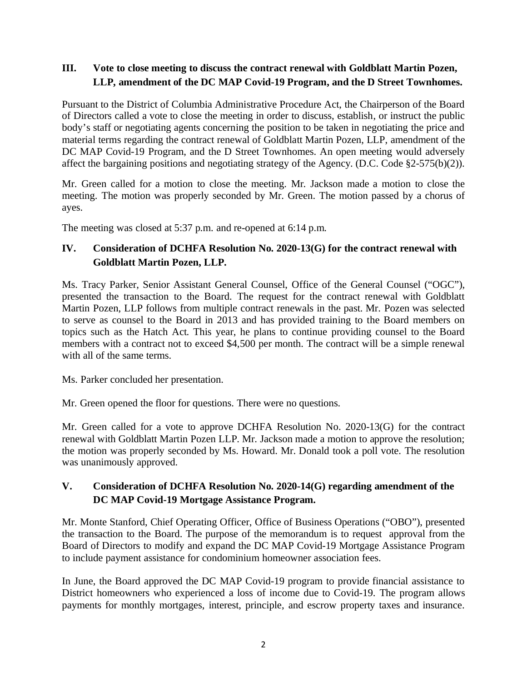### **III. Vote to close meeting to discuss the contract renewal with Goldblatt Martin Pozen, LLP, amendment of the DC MAP Covid-19 Program, and the D Street Townhomes.**

Pursuant to the District of Columbia Administrative Procedure Act, the Chairperson of the Board of Directors called a vote to close the meeting in order to discuss, establish, or instruct the public body's staff or negotiating agents concerning the position to be taken in negotiating the price and material terms regarding the contract renewal of Goldblatt Martin Pozen, LLP, amendment of the DC MAP Covid-19 Program, and the D Street Townhomes. An open meeting would adversely affect the bargaining positions and negotiating strategy of the Agency. (D.C. Code §2-575(b)(2)).

Mr. Green called for a motion to close the meeting. Mr. Jackson made a motion to close the meeting. The motion was properly seconded by Mr. Green. The motion passed by a chorus of ayes.

The meeting was closed at 5:37 p.m. and re-opened at 6:14 p.m.

# **IV. Consideration of DCHFA Resolution No. 2020-13(G) for the contract renewal with Goldblatt Martin Pozen, LLP.**

Ms. Tracy Parker, Senior Assistant General Counsel, Office of the General Counsel ("OGC"), presented the transaction to the Board. The request for the contract renewal with Goldblatt Martin Pozen, LLP follows from multiple contract renewals in the past. Mr. Pozen was selected to serve as counsel to the Board in 2013 and has provided training to the Board members on topics such as the Hatch Act. This year, he plans to continue providing counsel to the Board members with a contract not to exceed \$4,500 per month. The contract will be a simple renewal with all of the same terms.

Ms. Parker concluded her presentation.

Mr. Green opened the floor for questions. There were no questions.

Mr. Green called for a vote to approve DCHFA Resolution No. 2020-13(G) for the contract renewal with Goldblatt Martin Pozen LLP. Mr. Jackson made a motion to approve the resolution; the motion was properly seconded by Ms. Howard. Mr. Donald took a poll vote. The resolution was unanimously approved.

### **V. Consideration of DCHFA Resolution No. 2020-14(G) regarding amendment of the DC MAP Covid-19 Mortgage Assistance Program.**

Mr. Monte Stanford, Chief Operating Officer, Office of Business Operations ("OBO"), presented the transaction to the Board. The purpose of the memorandum is to request approval from the Board of Directors to modify and expand the DC MAP Covid-19 Mortgage Assistance Program to include payment assistance for condominium homeowner association fees.

In June, the Board approved the DC MAP Covid-19 program to provide financial assistance to District homeowners who experienced a loss of income due to Covid-19. The program allows payments for monthly mortgages, interest, principle, and escrow property taxes and insurance.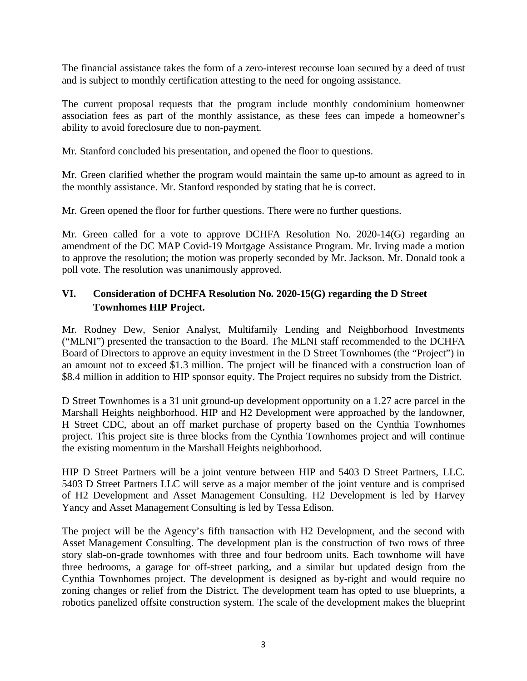The financial assistance takes the form of a zero-interest recourse loan secured by a deed of trust and is subject to monthly certification attesting to the need for ongoing assistance.

The current proposal requests that the program include monthly condominium homeowner association fees as part of the monthly assistance, as these fees can impede a homeowner's ability to avoid foreclosure due to non-payment.

Mr. Stanford concluded his presentation, and opened the floor to questions.

Mr. Green clarified whether the program would maintain the same up-to amount as agreed to in the monthly assistance. Mr. Stanford responded by stating that he is correct.

Mr. Green opened the floor for further questions. There were no further questions.

Mr. Green called for a vote to approve DCHFA Resolution No. 2020-14(G) regarding an amendment of the DC MAP Covid-19 Mortgage Assistance Program. Mr. Irving made a motion to approve the resolution; the motion was properly seconded by Mr. Jackson. Mr. Donald took a poll vote. The resolution was unanimously approved.

## **VI. Consideration of DCHFA Resolution No. 2020-15(G) regarding the D Street Townhomes HIP Project.**

Mr. Rodney Dew, Senior Analyst, Multifamily Lending and Neighborhood Investments ("MLNI") presented the transaction to the Board. The MLNI staff recommended to the DCHFA Board of Directors to approve an equity investment in the D Street Townhomes (the "Project") in an amount not to exceed \$1.3 million. The project will be financed with a construction loan of \$8.4 million in addition to HIP sponsor equity. The Project requires no subsidy from the District.

D Street Townhomes is a 31 unit ground-up development opportunity on a 1.27 acre parcel in the Marshall Heights neighborhood. HIP and H2 Development were approached by the landowner, H Street CDC, about an off market purchase of property based on the Cynthia Townhomes project. This project site is three blocks from the Cynthia Townhomes project and will continue the existing momentum in the Marshall Heights neighborhood.

HIP D Street Partners will be a joint venture between HIP and 5403 D Street Partners, LLC. 5403 D Street Partners LLC will serve as a major member of the joint venture and is comprised of H2 Development and Asset Management Consulting. H2 Development is led by Harvey Yancy and Asset Management Consulting is led by Tessa Edison.

The project will be the Agency's fifth transaction with H2 Development, and the second with Asset Management Consulting. The development plan is the construction of two rows of three story slab-on-grade townhomes with three and four bedroom units. Each townhome will have three bedrooms, a garage for off-street parking, and a similar but updated design from the Cynthia Townhomes project. The development is designed as by-right and would require no zoning changes or relief from the District. The development team has opted to use blueprints, a robotics panelized offsite construction system. The scale of the development makes the blueprint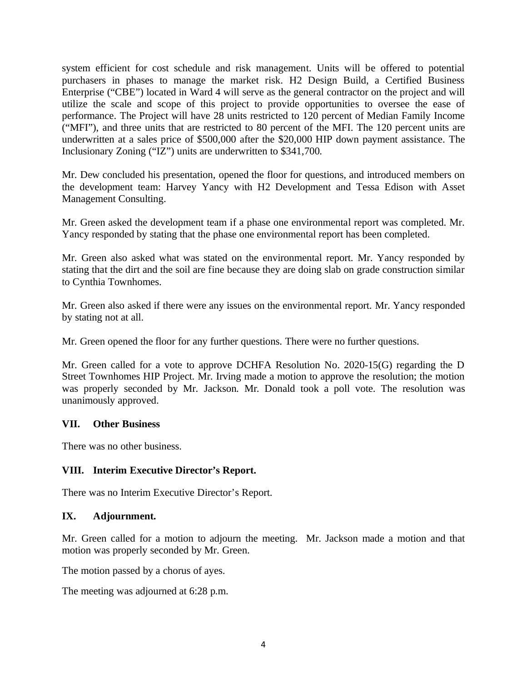system efficient for cost schedule and risk management. Units will be offered to potential purchasers in phases to manage the market risk. H2 Design Build, a Certified Business Enterprise ("CBE") located in Ward 4 will serve as the general contractor on the project and will utilize the scale and scope of this project to provide opportunities to oversee the ease of performance. The Project will have 28 units restricted to 120 percent of Median Family Income ("MFI"), and three units that are restricted to 80 percent of the MFI. The 120 percent units are underwritten at a sales price of \$500,000 after the \$20,000 HIP down payment assistance. The Inclusionary Zoning ("IZ") units are underwritten to \$341,700.

Mr. Dew concluded his presentation, opened the floor for questions, and introduced members on the development team: Harvey Yancy with H2 Development and Tessa Edison with Asset Management Consulting.

Mr. Green asked the development team if a phase one environmental report was completed. Mr. Yancy responded by stating that the phase one environmental report has been completed.

Mr. Green also asked what was stated on the environmental report. Mr. Yancy responded by stating that the dirt and the soil are fine because they are doing slab on grade construction similar to Cynthia Townhomes.

Mr. Green also asked if there were any issues on the environmental report. Mr. Yancy responded by stating not at all.

Mr. Green opened the floor for any further questions. There were no further questions.

Mr. Green called for a vote to approve DCHFA Resolution No. 2020-15(G) regarding the D Street Townhomes HIP Project. Mr. Irving made a motion to approve the resolution; the motion was properly seconded by Mr. Jackson. Mr. Donald took a poll vote. The resolution was unanimously approved.

### **VII. Other Business**

There was no other business.

### **VIII. Interim Executive Director's Report.**

There was no Interim Executive Director's Report.

### **IX. Adjournment.**

Mr. Green called for a motion to adjourn the meeting. Mr. Jackson made a motion and that motion was properly seconded by Mr. Green.

The motion passed by a chorus of ayes.

The meeting was adjourned at 6:28 p.m.